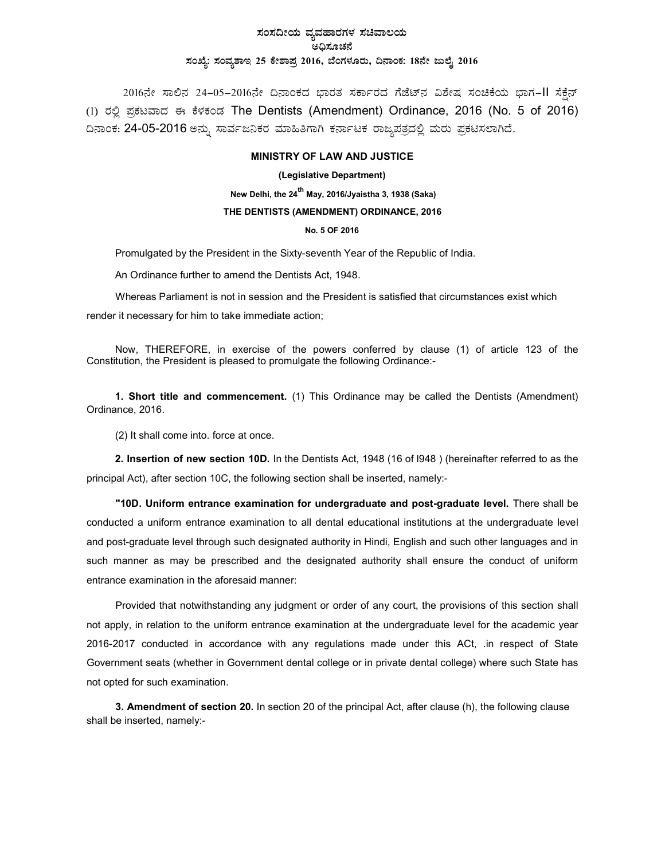# ಸಂಸದೀಯ ವ್ಯವಹಾರಗಳ ಸಚಿವಾಲಯ ಅಧಿಸೂಚನೆ ಸಂಖ್ಯೆ: ಸಂವ್ಯಶಾಇ 25 ಕೇಶಾಪ್ರ 2016, ಬೆಂಗಳೂರು, ದಿನಾಂಕ: 18ನೇ ಜುಲೈ 2016

2016ನೇ ಸಾಲಿನ 24–05–2016ನೇ ದಿನಾಂಕದ ಭಾರತ ಸರ್ಕಾರದ ಗೆಜೆಟ್ನ ವಿಶೇಷ ಸಂಚಿಕೆಯ ಭಾಗ–II ಸೆಕ್ಷೆನ್ (1) ರಲ್ಲಿ ಪ್ರಕಟವಾದ ಈ ಕೆಳಕಂಡ The Dentists (Amendment) Ordinance, 2016 (No. 5 of 2016) ದಿನಾಂಕ: 24-05-2016 ಅನ್ನು ಸಾರ್ವಜನಿಕರ ಮಾಹಿತಿಗಾಗಿ ಕರ್ನಾಟಕ ರಾಜ್ಯಪತ್ರದಲ್ಲಿ ಮರು ಪ್ರಕಟಿಸಲಾಗಿದೆ*.* 

### MINISTRY OF LAW AND JUSTICE

### (Legislative Department)

New Delhi, the  $24^{th}$  May, 2016/Jyaistha 3, 1938 (Saka)

#### THE DENTISTS (AMENDMENT) ORDINANCE, 2016

## No. 5 OF 2016

Promulgated by the President in the Sixty-seventh Year of the Republic of India.

An Ordinance further to amend the Dentists Act, 1948.

Whereas Parliament is not in session and the President is satisfied that circumstances exist which

render it necessary for him to take immediate action;

Now, THEREFORE, in exercise of the powers conferred by clause (1) of article 123 of the Constitution, the President is pleased to promulgate the following Ordinance:-

1. Short title and commencement. (1) This Ordinance may be called the Dentists (Amendment) Ordinance, 2016.

(2) It shall come into. force at once.

2. Insertion of new section 10D. In the Dentists Act, 1948 (16 of l948 ) (hereinafter referred to as the principal Act), after section 10C, the following section shall be inserted, namely:-

"10D. Uniform entrance examination for undergraduate and post-graduate level. There shall be conducted a uniform entrance examination to all dental educational institutions at the undergraduate level and post-graduate level through such designated authority in Hindi, English and such other languages and in such manner as may be prescribed and the designated authority shall ensure the conduct of uniform entrance examination in the aforesaid manner:

Provided that notwithstanding any judgment or order of any court, the provisions of this section shall not apply, in relation to the uniform entrance examination at the undergraduate level for the academic year 2016-2017 conducted in accordance with any regulations made under this ACt, .in respect of State Government seats (whether in Government dental college or in private dental college) where such State has not opted for such examination.

3. Amendment of section 20. In section 20 of the principal Act, after clause (h), the following clause shall be inserted, namely:-